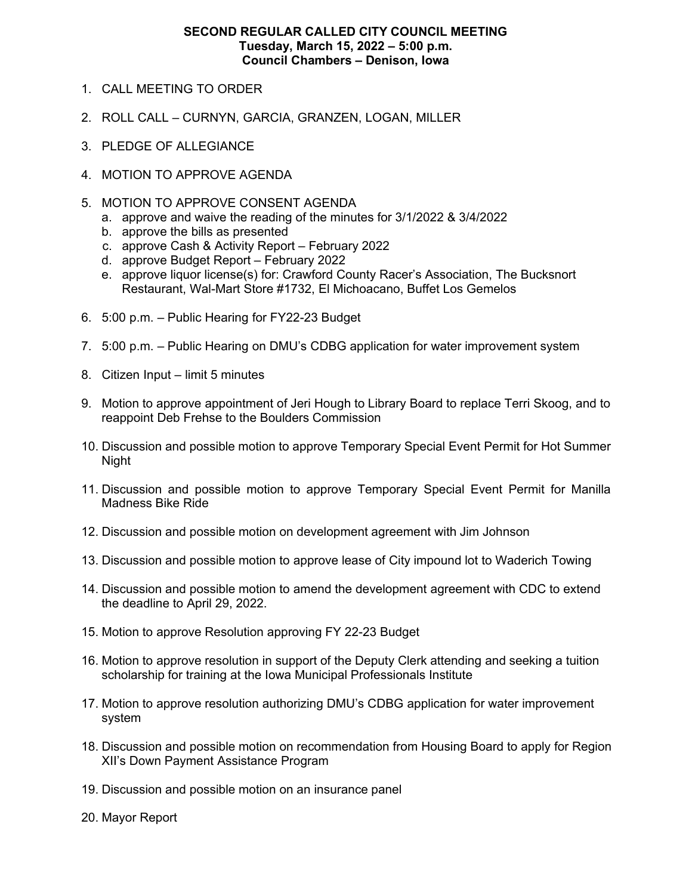## SECOND REGULAR CALLED CITY COUNCIL MEETING Tuesday, March 15, 2022 ‒ 5:00 p.m. Council Chambers ‒ Denison, Iowa

- 1. CALL MEETING TO ORDER
- 2. ROLL CALL CURNYN, GARCIA, GRANZEN, LOGAN, MILLER
- 3. PLEDGE OF ALLEGIANCE
- 4. MOTION TO APPROVE AGENDA
- 5. MOTION TO APPROVE CONSENT AGENDA
	- a. approve and waive the reading of the minutes for 3/1/2022 & 3/4/2022
	- b. approve the bills as presented
	- c. approve Cash & Activity Report February 2022
	- d. approve Budget Report February 2022
	- e. approve liquor license(s) for: Crawford County Racer's Association, The Bucksnort Restaurant, Wal-Mart Store #1732, El Michoacano, Buffet Los Gemelos
- 6. 5:00 p.m. Public Hearing for FY22-23 Budget
- 7. 5:00 p.m. Public Hearing on DMU's CDBG application for water improvement system
- 8. Citizen Input limit 5 minutes
- 9. Motion to approve appointment of Jeri Hough to Library Board to replace Terri Skoog, and to reappoint Deb Frehse to the Boulders Commission
- 10. Discussion and possible motion to approve Temporary Special Event Permit for Hot Summer Night
- 11. Discussion and possible motion to approve Temporary Special Event Permit for Manilla Madness Bike Ride
- 12. Discussion and possible motion on development agreement with Jim Johnson
- 13. Discussion and possible motion to approve lease of City impound lot to Waderich Towing
- 14. Discussion and possible motion to amend the development agreement with CDC to extend the deadline to April 29, 2022.
- 15. Motion to approve Resolution approving FY 22-23 Budget
- 16. Motion to approve resolution in support of the Deputy Clerk attending and seeking a tuition scholarship for training at the Iowa Municipal Professionals Institute
- 17. Motion to approve resolution authorizing DMU's CDBG application for water improvement system
- 18. Discussion and possible motion on recommendation from Housing Board to apply for Region XII's Down Payment Assistance Program
- 19. Discussion and possible motion on an insurance panel
- 20. Mayor Report